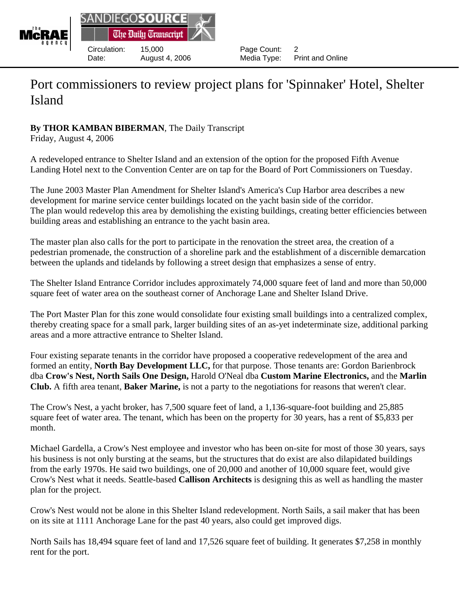

## Port commissioners to review project plans for 'Spinnaker' Hotel, Shelter Island

## **By THOR KAMBAN BIBERMAN**, The Daily Transcript

Friday, August 4, 2006

A redeveloped entrance to Shelter Island and an extension of the option for the proposed Fifth Avenue Landing Hotel next to the Convention Center are on tap for the Board of Port Commissioners on Tuesday.

The June 2003 Master Plan Amendment for Shelter Island's America's Cup Harbor area describes a new development for marine service center buildings located on the yacht basin side of the corridor. The plan would redevelop this area by demolishing the existing buildings, creating better efficiencies between building areas and establishing an entrance to the yacht basin area.

The master plan also calls for the port to participate in the renovation the street area, the creation of a pedestrian promenade, the construction of a shoreline park and the establishment of a discernible demarcation between the uplands and tidelands by following a street design that emphasizes a sense of entry.

The Shelter Island Entrance Corridor includes approximately 74,000 square feet of land and more than 50,000 square feet of water area on the southeast corner of Anchorage Lane and Shelter Island Drive.

The Port Master Plan for this zone would consolidate four existing small buildings into a centralized complex, thereby creating space for a small park, larger building sites of an as-yet indeterminate size, additional parking areas and a more attractive entrance to Shelter Island.

Four existing separate tenants in the corridor have proposed a cooperative redevelopment of the area and formed an entity, **North Bay Development LLC,** for that purpose. Those tenants are: Gordon Barienbrock dba **Crow's Nest, North Sails One Design,** Harold O'Neal dba **Custom Marine Electronics,** and the **Marlin Club.** A fifth area tenant, **Baker Marine,** is not a party to the negotiations for reasons that weren't clear.

The Crow's Nest, a yacht broker, has 7,500 square feet of land, a 1,136-square-foot building and 25,885 square feet of water area. The tenant, which has been on the property for 30 years, has a rent of \$5,833 per month.

Michael Gardella, a Crow's Nest employee and investor who has been on-site for most of those 30 years, says his business is not only bursting at the seams, but the structures that do exist are also dilapidated buildings from the early 1970s. He said two buildings, one of 20,000 and another of 10,000 square feet, would give Crow's Nest what it needs. Seattle-based **Callison Architects** is designing this as well as handling the master plan for the project.

Crow's Nest would not be alone in this Shelter Island redevelopment. North Sails, a sail maker that has been on its site at 1111 Anchorage Lane for the past 40 years, also could get improved digs.

North Sails has 18,494 square feet of land and 17,526 square feet of building. It generates \$7,258 in monthly rent for the port.